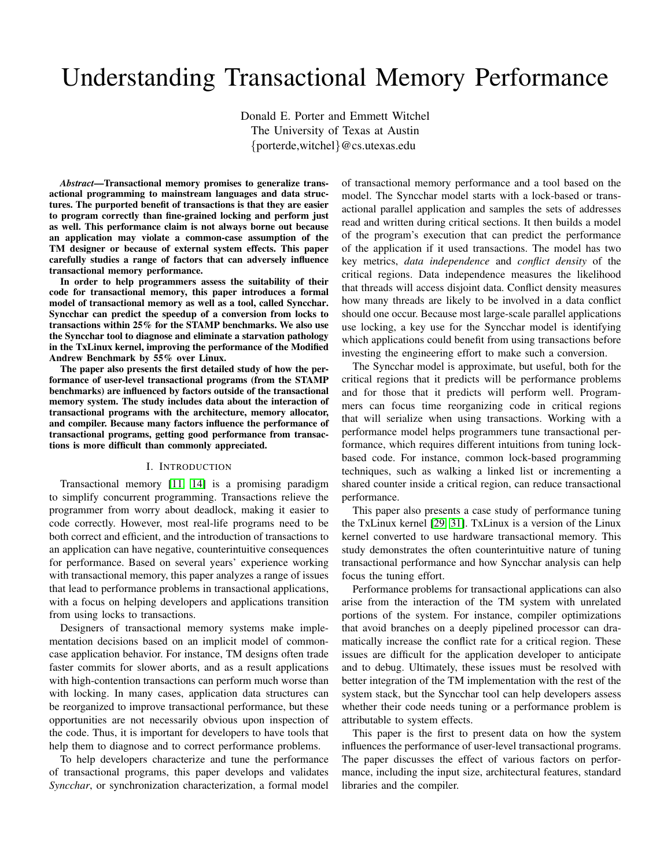# Understanding Transactional Memory Performance

Donald E. Porter and Emmett Witchel The University of Texas at Austin {porterde,witchel}@cs.utexas.edu

*Abstract*—Transactional memory promises to generalize transactional programming to mainstream languages and data structures. The purported benefit of transactions is that they are easier to program correctly than fine-grained locking and perform just as well. This performance claim is not always borne out because an application may violate a common-case assumption of the TM designer or because of external system effects. This paper carefully studies a range of factors that can adversely influence transactional memory performance.

In order to help programmers assess the suitability of their code for transactional memory, this paper introduces a formal model of transactional memory as well as a tool, called Syncchar. Syncchar can predict the speedup of a conversion from locks to transactions within 25% for the STAMP benchmarks. We also use the Syncchar tool to diagnose and eliminate a starvation pathology in the TxLinux kernel, improving the performance of the Modified Andrew Benchmark by 55% over Linux.

The paper also presents the first detailed study of how the performance of user-level transactional programs (from the STAMP benchmarks) are influenced by factors outside of the transactional memory system. The study includes data about the interaction of transactional programs with the architecture, memory allocator, and compiler. Because many factors influence the performance of transactional programs, getting good performance from transactions is more difficult than commonly appreciated.

#### I. INTRODUCTION

Transactional memory [\[11,](#page-11-0) [14\]](#page-11-1) is a promising paradigm to simplify concurrent programming. Transactions relieve the programmer from worry about deadlock, making it easier to code correctly. However, most real-life programs need to be both correct and efficient, and the introduction of transactions to an application can have negative, counterintuitive consequences for performance. Based on several years' experience working with transactional memory, this paper analyzes a range of issues that lead to performance problems in transactional applications, with a focus on helping developers and applications transition from using locks to transactions.

Designers of transactional memory systems make implementation decisions based on an implicit model of commoncase application behavior. For instance, TM designs often trade faster commits for slower aborts, and as a result applications with high-contention transactions can perform much worse than with locking. In many cases, application data structures can be reorganized to improve transactional performance, but these opportunities are not necessarily obvious upon inspection of the code. Thus, it is important for developers to have tools that help them to diagnose and to correct performance problems.

To help developers characterize and tune the performance of transactional programs, this paper develops and validates *Syncchar*, or synchronization characterization, a formal model of transactional memory performance and a tool based on the model. The Syncchar model starts with a lock-based or transactional parallel application and samples the sets of addresses read and written during critical sections. It then builds a model of the program's execution that can predict the performance of the application if it used transactions. The model has two key metrics, *data independence* and *conflict density* of the critical regions. Data independence measures the likelihood that threads will access disjoint data. Conflict density measures how many threads are likely to be involved in a data conflict should one occur. Because most large-scale parallel applications use locking, a key use for the Syncchar model is identifying which applications could benefit from using transactions before investing the engineering effort to make such a conversion.

The Syncchar model is approximate, but useful, both for the critical regions that it predicts will be performance problems and for those that it predicts will perform well. Programmers can focus time reorganizing code in critical regions that will serialize when using transactions. Working with a performance model helps programmers tune transactional performance, which requires different intuitions from tuning lockbased code. For instance, common lock-based programming techniques, such as walking a linked list or incrementing a shared counter inside a critical region, can reduce transactional performance.

This paper also presents a case study of performance tuning the TxLinux kernel [\[29,](#page-11-2) [31\]](#page-11-3). TxLinux is a version of the Linux kernel converted to use hardware transactional memory. This study demonstrates the often counterintuitive nature of tuning transactional performance and how Syncchar analysis can help focus the tuning effort.

Performance problems for transactional applications can also arise from the interaction of the TM system with unrelated portions of the system. For instance, compiler optimizations that avoid branches on a deeply pipelined processor can dramatically increase the conflict rate for a critical region. These issues are difficult for the application developer to anticipate and to debug. Ultimately, these issues must be resolved with better integration of the TM implementation with the rest of the system stack, but the Syncchar tool can help developers assess whether their code needs tuning or a performance problem is attributable to system effects.

This paper is the first to present data on how the system influences the performance of user-level transactional programs. The paper discusses the effect of various factors on performance, including the input size, architectural features, standard libraries and the compiler.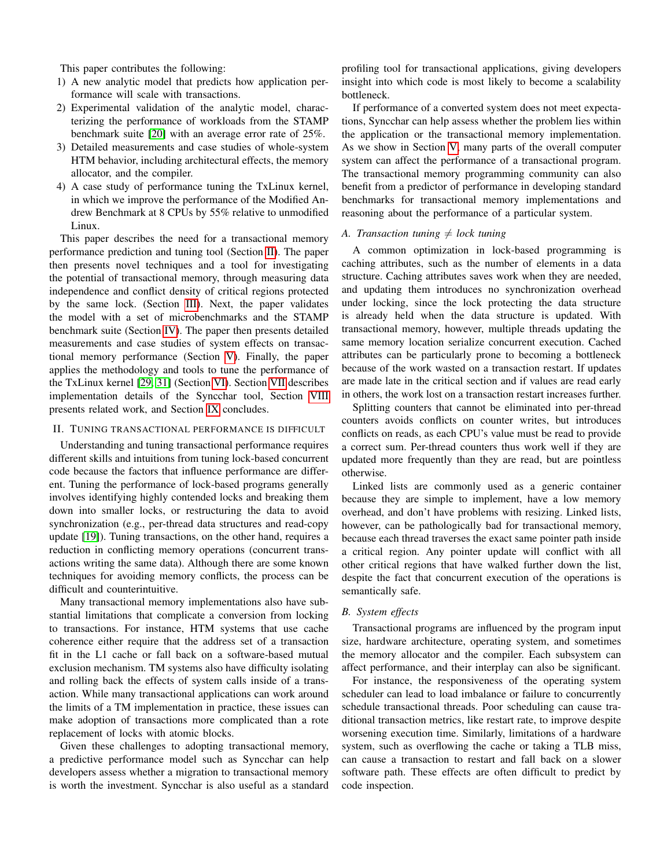This paper contributes the following:

- 1) A new analytic model that predicts how application performance will scale with transactions.
- 2) Experimental validation of the analytic model, characterizing the performance of workloads from the STAMP benchmark suite [\[20\]](#page-11-4) with an average error rate of 25%.
- 3) Detailed measurements and case studies of whole-system HTM behavior, including architectural effects, the memory allocator, and the compiler.
- 4) A case study of performance tuning the TxLinux kernel, in which we improve the performance of the Modified Andrew Benchmark at 8 CPUs by 55% relative to unmodified Linux.

This paper describes the need for a transactional memory performance prediction and tuning tool (Section [II\)](#page-1-0). The paper then presents novel techniques and a tool for investigating the potential of transactional memory, through measuring data independence and conflict density of critical regions protected by the same lock. (Section [III\)](#page-2-0). Next, the paper validates the model with a set of microbenchmarks and the STAMP benchmark suite (Section [IV\)](#page-3-0). The paper then presents detailed measurements and case studies of system effects on transactional memory performance (Section [V\)](#page-5-0). Finally, the paper applies the methodology and tools to tune the performance of the TxLinux kernel [\[29,](#page-11-2) [31\]](#page-11-3) (Section [VI\)](#page-8-0). Section [VII](#page-10-0) describes implementation details of the Syncchar tool, Section [VIII](#page-10-1) presents related work, and Section [IX](#page-10-2) concludes.

#### <span id="page-1-0"></span>II. TUNING TRANSACTIONAL PERFORMANCE IS DIFFICULT

Understanding and tuning transactional performance requires different skills and intuitions from tuning lock-based concurrent code because the factors that influence performance are different. Tuning the performance of lock-based programs generally involves identifying highly contended locks and breaking them down into smaller locks, or restructuring the data to avoid synchronization (e.g., per-thread data structures and read-copy update [\[19\]](#page-11-5)). Tuning transactions, on the other hand, requires a reduction in conflicting memory operations (concurrent transactions writing the same data). Although there are some known techniques for avoiding memory conflicts, the process can be difficult and counterintuitive.

Many transactional memory implementations also have substantial limitations that complicate a conversion from locking to transactions. For instance, HTM systems that use cache coherence either require that the address set of a transaction fit in the L1 cache or fall back on a software-based mutual exclusion mechanism. TM systems also have difficulty isolating and rolling back the effects of system calls inside of a transaction. While many transactional applications can work around the limits of a TM implementation in practice, these issues can make adoption of transactions more complicated than a rote replacement of locks with atomic blocks.

Given these challenges to adopting transactional memory, a predictive performance model such as Syncchar can help developers assess whether a migration to transactional memory is worth the investment. Syncchar is also useful as a standard

profiling tool for transactional applications, giving developers insight into which code is most likely to become a scalability bottleneck.

If performance of a converted system does not meet expectations, Syncchar can help assess whether the problem lies within the application or the transactional memory implementation. As we show in Section [V,](#page-5-0) many parts of the overall computer system can affect the performance of a transactional program. The transactional memory programming community can also benefit from a predictor of performance in developing standard benchmarks for transactional memory implementations and reasoning about the performance of a particular system.

## *A. Transaction tuning*  $\neq$  *lock tuning*

A common optimization in lock-based programming is caching attributes, such as the number of elements in a data structure. Caching attributes saves work when they are needed, and updating them introduces no synchronization overhead under locking, since the lock protecting the data structure is already held when the data structure is updated. With transactional memory, however, multiple threads updating the same memory location serialize concurrent execution. Cached attributes can be particularly prone to becoming a bottleneck because of the work wasted on a transaction restart. If updates are made late in the critical section and if values are read early in others, the work lost on a transaction restart increases further.

Splitting counters that cannot be eliminated into per-thread counters avoids conflicts on counter writes, but introduces conflicts on reads, as each CPU's value must be read to provide a correct sum. Per-thread counters thus work well if they are updated more frequently than they are read, but are pointless otherwise.

Linked lists are commonly used as a generic container because they are simple to implement, have a low memory overhead, and don't have problems with resizing. Linked lists, however, can be pathologically bad for transactional memory, because each thread traverses the exact same pointer path inside a critical region. Any pointer update will conflict with all other critical regions that have walked further down the list, despite the fact that concurrent execution of the operations is semantically safe.

## *B. System effects*

Transactional programs are influenced by the program input size, hardware architecture, operating system, and sometimes the memory allocator and the compiler. Each subsystem can affect performance, and their interplay can also be significant.

For instance, the responsiveness of the operating system scheduler can lead to load imbalance or failure to concurrently schedule transactional threads. Poor scheduling can cause traditional transaction metrics, like restart rate, to improve despite worsening execution time. Similarly, limitations of a hardware system, such as overflowing the cache or taking a TLB miss, can cause a transaction to restart and fall back on a slower software path. These effects are often difficult to predict by code inspection.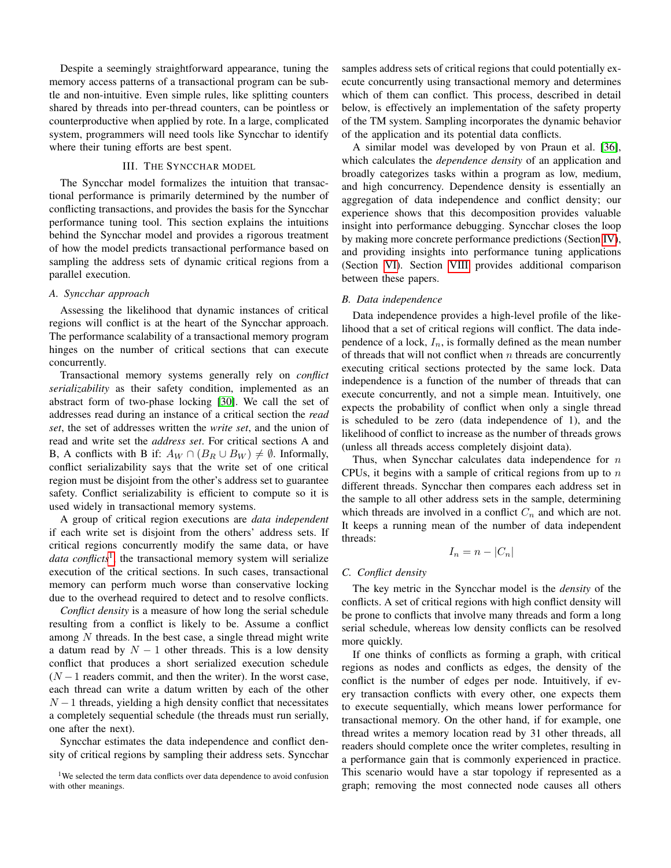Despite a seemingly straightforward appearance, tuning the memory access patterns of a transactional program can be subtle and non-intuitive. Even simple rules, like splitting counters shared by threads into per-thread counters, can be pointless or counterproductive when applied by rote. In a large, complicated system, programmers will need tools like Syncchar to identify where their tuning efforts are best spent.

#### III. THE SYNCCHAR MODEL

<span id="page-2-0"></span>The Syncchar model formalizes the intuition that transactional performance is primarily determined by the number of conflicting transactions, and provides the basis for the Syncchar performance tuning tool. This section explains the intuitions behind the Syncchar model and provides a rigorous treatment of how the model predicts transactional performance based on sampling the address sets of dynamic critical regions from a parallel execution.

#### *A. Syncchar approach*

Assessing the likelihood that dynamic instances of critical regions will conflict is at the heart of the Syncchar approach. The performance scalability of a transactional memory program hinges on the number of critical sections that can execute concurrently.

Transactional memory systems generally rely on *conflict serializability* as their safety condition, implemented as an abstract form of two-phase locking [\[30\]](#page-11-6). We call the set of addresses read during an instance of a critical section the *read set*, the set of addresses written the *write set*, and the union of read and write set the *address set*. For critical sections A and B, A conflicts with B if:  $A_W \cap (B_R \cup B_W) \neq \emptyset$ . Informally, conflict serializability says that the write set of one critical region must be disjoint from the other's address set to guarantee safety. Conflict serializability is efficient to compute so it is used widely in transactional memory systems.

A group of critical region executions are *data independent* if each write set is disjoint from the others' address sets. If critical regions concurrently modify the same data, or have data conflicts<sup>[1](#page-2-1)</sup>, the transactional memory system will serialize execution of the critical sections. In such cases, transactional memory can perform much worse than conservative locking due to the overhead required to detect and to resolve conflicts.

*Conflict density* is a measure of how long the serial schedule resulting from a conflict is likely to be. Assume a conflict among  $N$  threads. In the best case, a single thread might write a datum read by  $N - 1$  other threads. This is a low density conflict that produces a short serialized execution schedule  $(N-1)$  readers commit, and then the writer). In the worst case, each thread can write a datum written by each of the other  $N-1$  threads, yielding a high density conflict that necessitates a completely sequential schedule (the threads must run serially, one after the next).

Syncchar estimates the data independence and conflict density of critical regions by sampling their address sets. Syncchar samples address sets of critical regions that could potentially execute concurrently using transactional memory and determines which of them can conflict. This process, described in detail below, is effectively an implementation of the safety property of the TM system. Sampling incorporates the dynamic behavior of the application and its potential data conflicts.

A similar model was developed by von Praun et al. [\[36\]](#page-12-0), which calculates the *dependence density* of an application and broadly categorizes tasks within a program as low, medium, and high concurrency. Dependence density is essentially an aggregation of data independence and conflict density; our experience shows that this decomposition provides valuable insight into performance debugging. Syncchar closes the loop by making more concrete performance predictions (Section [IV\)](#page-3-0), and providing insights into performance tuning applications (Section [VI\)](#page-8-0). Section [VIII](#page-10-1) provides additional comparison between these papers.

## *B. Data independence*

Data independence provides a high-level profile of the likelihood that a set of critical regions will conflict. The data independence of a lock,  $I_n$ , is formally defined as the mean number of threads that will not conflict when  $n$  threads are concurrently executing critical sections protected by the same lock. Data independence is a function of the number of threads that can execute concurrently, and not a simple mean. Intuitively, one expects the probability of conflict when only a single thread is scheduled to be zero (data independence of 1), and the likelihood of conflict to increase as the number of threads grows (unless all threads access completely disjoint data).

Thus, when Syncchar calculates data independence for  $n$ CPUs, it begins with a sample of critical regions from up to  $n$ different threads. Syncchar then compares each address set in the sample to all other address sets in the sample, determining which threads are involved in a conflict  $C_n$  and which are not. It keeps a running mean of the number of data independent threads:

$$
I_n = n - |C_n|
$$

## *C. Conflict density*

The key metric in the Syncchar model is the *density* of the conflicts. A set of critical regions with high conflict density will be prone to conflicts that involve many threads and form a long serial schedule, whereas low density conflicts can be resolved more quickly.

If one thinks of conflicts as forming a graph, with critical regions as nodes and conflicts as edges, the density of the conflict is the number of edges per node. Intuitively, if every transaction conflicts with every other, one expects them to execute sequentially, which means lower performance for transactional memory. On the other hand, if for example, one thread writes a memory location read by 31 other threads, all readers should complete once the writer completes, resulting in a performance gain that is commonly experienced in practice. This scenario would have a star topology if represented as a graph; removing the most connected node causes all others

<span id="page-2-1"></span><sup>&</sup>lt;sup>1</sup>We selected the term data conflicts over data dependence to avoid confusion with other meanings.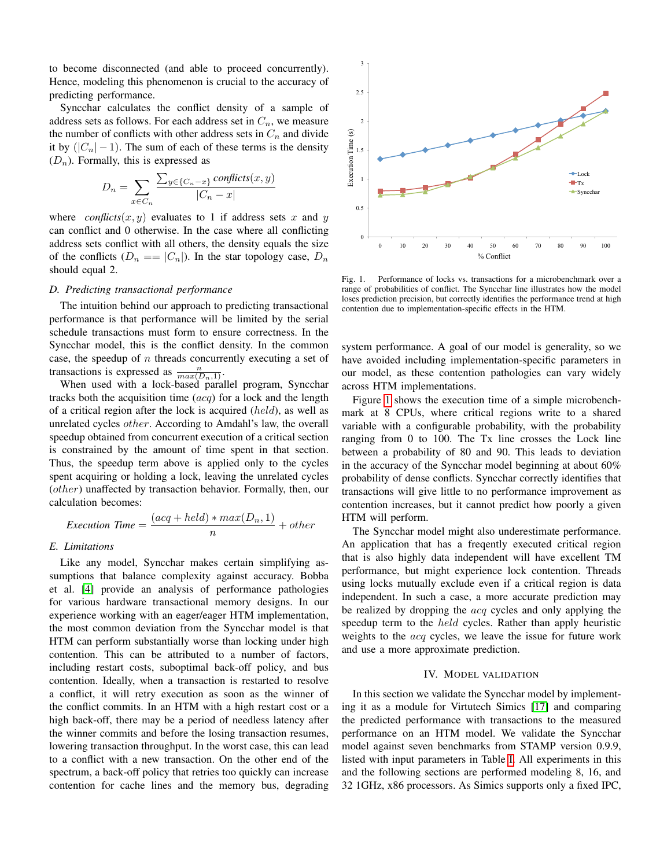to become disconnected (and able to proceed concurrently). Hence, modeling this phenomenon is crucial to the accuracy of predicting performance.

Syncchar calculates the conflict density of a sample of address sets as follows. For each address set in  $C_n$ , we measure the number of conflicts with other address sets in  $C_n$  and divide it by  $(|C_n| - 1)$ . The sum of each of these terms is the density  $(D_n)$ . Formally, this is expressed as

$$
D_n = \sum_{x \in C_n} \frac{\sum_{y \in \{C_n - x\}} conflict(x, y)}{|C_n - x|}
$$

where *conflicts* $(x, y)$  evaluates to 1 if address sets x and y can conflict and 0 otherwise. In the case where all conflicting address sets conflict with all others, the density equals the size of the conflicts  $(D_n == |C_n|)$ . In the star topology case,  $D_n$ should equal 2.

## *D. Predicting transactional performance*

The intuition behind our approach to predicting transactional performance is that performance will be limited by the serial schedule transactions must form to ensure correctness. In the Syncchar model, this is the conflict density. In the common case, the speedup of  $n$  threads concurrently executing a set of transactions is expressed as  $\frac{n}{max(D_n,1)}$ .

When used with a lock-based parallel program, Syncchar tracks both the acquisition time  $(acq)$  for a lock and the length of a critical region after the lock is acquired (held), as well as unrelated cycles other. According to Amdahl's law, the overall speedup obtained from concurrent execution of a critical section is constrained by the amount of time spent in that section. Thus, the speedup term above is applied only to the cycles spent acquiring or holding a lock, leaving the unrelated cycles (other) unaffected by transaction behavior. Formally, then, our calculation becomes:

$$
Execution Time = \frac{(acq + held) * max(D_n, 1)}{n} + other
$$

#### *E. Limitations*

Like any model, Syncchar makes certain simplifying assumptions that balance complexity against accuracy. Bobba et al. [\[4\]](#page-11-7) provide an analysis of performance pathologies for various hardware transactional memory designs. In our experience working with an eager/eager HTM implementation, the most common deviation from the Syncchar model is that HTM can perform substantially worse than locking under high contention. This can be attributed to a number of factors, including restart costs, suboptimal back-off policy, and bus contention. Ideally, when a transaction is restarted to resolve a conflict, it will retry execution as soon as the winner of the conflict commits. In an HTM with a high restart cost or a high back-off, there may be a period of needless latency after the winner commits and before the losing transaction resumes, lowering transaction throughput. In the worst case, this can lead to a conflict with a new transaction. On the other end of the spectrum, a back-off policy that retries too quickly can increase contention for cache lines and the memory bus, degrading



<span id="page-3-1"></span>Fig. 1. Performance of locks vs. transactions for a microbenchmark over a range of probabilities of conflict. The Syncchar line illustrates how the model loses prediction precision, but correctly identifies the performance trend at high contention due to implementation-specific effects in the HTM.

system performance. A goal of our model is generality, so we have avoided including implementation-specific parameters in our model, as these contention pathologies can vary widely across HTM implementations.

Figure [1](#page-3-1) shows the execution time of a simple microbenchmark at 8 CPUs, where critical regions write to a shared variable with a configurable probability, with the probability ranging from 0 to 100. The Tx line crosses the Lock line between a probability of 80 and 90. This leads to deviation in the accuracy of the Syncchar model beginning at about 60% probability of dense conflicts. Syncchar correctly identifies that transactions will give little to no performance improvement as contention increases, but it cannot predict how poorly a given HTM will perform.

The Syncchar model might also underestimate performance. An application that has a freqently executed critical region that is also highly data independent will have excellent TM performance, but might experience lock contention. Threads using locks mutually exclude even if a critical region is data independent. In such a case, a more accurate prediction may be realized by dropping the *acq* cycles and only applying the speedup term to the *held* cycles. Rather than apply heuristic weights to the *acq* cycles, we leave the issue for future work and use a more approximate prediction.

#### IV. MODEL VALIDATION

<span id="page-3-0"></span>In this section we validate the Syncchar model by implementing it as a module for Virtutech Simics [\[17\]](#page-11-8) and comparing the predicted performance with transactions to the measured performance on an HTM model. We validate the Syncchar model against seven benchmarks from STAMP version 0.9.9, listed with input parameters in Table [I.](#page-4-0) All experiments in this and the following sections are performed modeling 8, 16, and 32 1GHz, x86 processors. As Simics supports only a fixed IPC,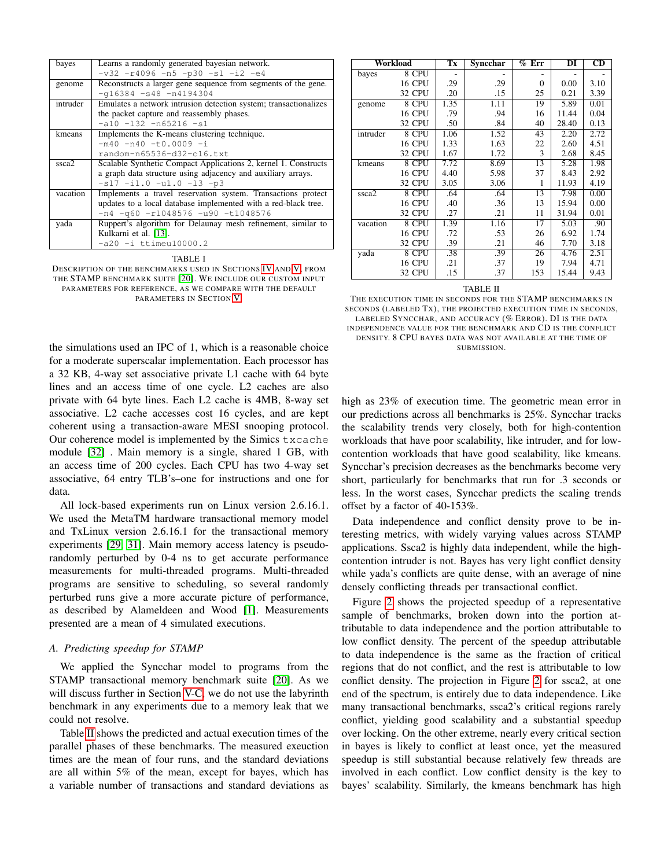| bayes    | Learns a randomly generated bayesian network.                    |
|----------|------------------------------------------------------------------|
|          | $-v32 - r4096 - n5 - p30 - s1 - i2 - e4$                         |
| genome   | Reconstructs a larger gene sequence from segments of the gene.   |
|          | $-q16384 - s48 - n4194304$                                       |
| intruder | Emulates a network intrusion detection system; transactionalizes |
|          | the packet capture and reassembly phases.                        |
|          | $-a10$ $-132$ $-n65216$ $-s1$                                    |
| kmeans   | Implements the K-means clustering technique.                     |
|          | $-m40 - n40 - t.0.0009 - i$                                      |
|          | random-n65536-d32-c16.txt                                        |
| ssca2    | Scalable Synthetic Compact Applications 2, kernel 1. Constructs  |
|          | a graph data structure using adjacency and auxiliary arrays.     |
|          | $- s17 - i1.0 - u1.0 -13 - p3$                                   |
| vacation | Implements a travel reservation system. Transactions protect     |
|          | updates to a local database implemented with a red-black tree.   |
|          | $-n4 - q60 - r1048576 - u90 - t1048576$                          |
| yada     | Ruppert's algorithm for Delaunay mesh refinement, similar to     |
|          | Kulkarni et al. [13].                                            |
|          | $-a20 -i$ ttimeu10000.2                                          |

TABLE I

<span id="page-4-0"></span>DESCRIPTION OF THE BENCHMARKS USED IN SECTIONS [IV](#page-3-0) AND [V,](#page-5-0) FROM THE STAMP BENCHMARK SUITE [\[20\]](#page-11-4). WE INCLUDE OUR CUSTOM INPUT PARAMETERS FOR REFERENCE, AS WE COMPARE WITH THE DEFAULT PARAMETERS IN SECTION [V.](#page-5-0)

the simulations used an IPC of 1, which is a reasonable choice for a moderate superscalar implementation. Each processor has a 32 KB, 4-way set associative private L1 cache with 64 byte lines and an access time of one cycle. L2 caches are also private with 64 byte lines. Each L2 cache is 4MB, 8-way set associative. L2 cache accesses cost 16 cycles, and are kept coherent using a transaction-aware MESI snooping protocol. Our coherence model is implemented by the Simics txcache module [\[32\]](#page-12-1) . Main memory is a single, shared 1 GB, with an access time of 200 cycles. Each CPU has two 4-way set associative, 64 entry TLB's–one for instructions and one for data.

All lock-based experiments run on Linux version 2.6.16.1. We used the MetaTM hardware transactional memory model and TxLinux version 2.6.16.1 for the transactional memory experiments [\[29,](#page-11-2) [31\]](#page-11-3). Main memory access latency is pseudorandomly perturbed by 0-4 ns to get accurate performance measurements for multi-threaded programs. Multi-threaded programs are sensitive to scheduling, so several randomly perturbed runs give a more accurate picture of performance, as described by Alameldeen and Wood [\[1\]](#page-11-10). Measurements presented are a mean of 4 simulated executions.

### *A. Predicting speedup for STAMP*

We applied the Syncchar model to programs from the STAMP transactional memory benchmark suite [\[20\]](#page-11-4). As we will discuss further in Section [V-C,](#page-7-0) we do not use the labyrinth benchmark in any experiments due to a memory leak that we could not resolve.

Table [II](#page-4-1) shows the predicted and actual execution times of the parallel phases of these benchmarks. The measured exeuction times are the mean of four runs, and the standard deviations are all within 5% of the mean, except for bayes, which has a variable number of transactions and standard deviations as

|          | Workload      |      | Syncchar | $%$ Err | DI                | CD   |
|----------|---------------|------|----------|---------|-------------------|------|
| bayes    | 8 CPU         |      |          |         |                   |      |
|          | <b>16 CPU</b> | .29  | .29      | 0       | 0.00              | 3.10 |
|          | 32 CPU        | .20  | .15      | 25      | 0.21              | 3.39 |
| genome   | 8 CPU         | 1.35 | 1.11     | 19      | 5.89              | 0.01 |
|          | <b>16 CPU</b> | .79  | .94      | 16      | 11.44             | 0.04 |
|          | 32 CPU        | .50  | .84      | 40      | 28.40             | 0.13 |
| intruder | 8 CPU         | 1.06 | 1.52     | 43      | 2.20              | 2.72 |
|          | <b>16 CPU</b> | 1.33 | 1.63     | 22      | 2.60              | 4.51 |
|          | 32 CPU        | 1.67 | 1.72     | 3       | 2.68              | 8.45 |
| kmeans   | 8 CPU         | 7.72 | 8.69     | 13      | $\overline{5.28}$ | 1.98 |
|          | <b>16 CPU</b> | 4.40 | 5.98     | 37      | 8.43              | 2.92 |
|          | 32 CPU        | 3.05 | 3.06     | 1       | 11.93             | 4.19 |
| ssca2    | 8 CPU         | .64  | .64      | 13      | 7.98              | 0.00 |
|          | 16 CPU        | .40  | .36      | 13      | 15.94             | 0.00 |
|          | 32 CPU        | .27  | .21      | 11      | 31.94             | 0.01 |
| vacation | 8 CPU         | 1.39 | 1.16     | 17      | 5.03              | .90  |
|          | <b>16 CPU</b> | .72  | .53      | 26      | 6.92              | 1.74 |
|          | <b>32 CPU</b> | .39  | .21      | 46      | 7.70              | 3.18 |
| yada     | 8 CPU         | .38  | .39      | 26      | 4.76              | 2.51 |
|          | <b>16 CPU</b> | .21  | .37      | 19      | 7.94              | 4.71 |
|          | 32 CPU        | .15  | .37      | 153     | 15.44             | 9.43 |

TABLE II

<span id="page-4-1"></span>THE EXECUTION TIME IN SECONDS FOR THE STAMP BENCHMARKS IN SECONDS (LABELED TX), THE PROJECTED EXECUTION TIME IN SECONDS, LABELED SYNCCHAR, AND ACCURACY (% ERROR). DI IS THE DATA INDEPENDENCE VALUE FOR THE BENCHMARK AND CD IS THE CONFLICT DENSITY. 8 CPU BAYES DATA WAS NOT AVAILABLE AT THE TIME OF

SUBMISSION.

high as 23% of execution time. The geometric mean error in our predictions across all benchmarks is 25%. Syncchar tracks the scalability trends very closely, both for high-contention workloads that have poor scalability, like intruder, and for lowcontention workloads that have good scalability, like kmeans. Syncchar's precision decreases as the benchmarks become very short, particularly for benchmarks that run for .3 seconds or less. In the worst cases, Syncchar predicts the scaling trends offset by a factor of 40-153%.

Data independence and conflict density prove to be interesting metrics, with widely varying values across STAMP applications. Ssca2 is highly data independent, while the highcontention intruder is not. Bayes has very light conflict density while yada's conflicts are quite dense, with an average of nine densely conflicting threads per transactional conflict.

Figure [2](#page-5-1) shows the projected speedup of a representative sample of benchmarks, broken down into the portion attributable to data independence and the portion attributable to low conflict density. The percent of the speedup attributable to data independence is the same as the fraction of critical regions that do not conflict, and the rest is attributable to low conflict density. The projection in Figure [2](#page-5-1) for ssca2, at one end of the spectrum, is entirely due to data independence. Like many transactional benchmarks, ssca2's critical regions rarely conflict, yielding good scalability and a substantial speedup over locking. On the other extreme, nearly every critical section in bayes is likely to conflict at least once, yet the measured speedup is still substantial because relatively few threads are involved in each conflict. Low conflict density is the key to bayes' scalability. Similarly, the kmeans benchmark has high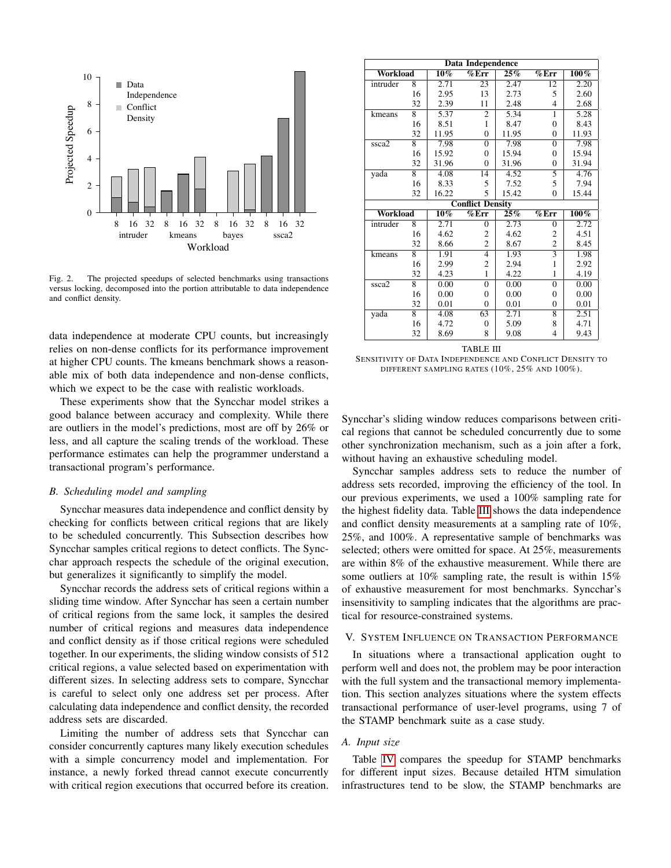

<span id="page-5-1"></span>Fig. 2. The projected speedups of selected benchmarks using transactions versus locking, decomposed into the portion attributable to data independence and conflict density.

data independence at moderate CPU counts, but increasingly relies on non-dense conflicts for its performance improvement at higher CPU counts. The kmeans benchmark shows a reasonable mix of both data independence and non-dense conflicts, which we expect to be the case with realistic workloads.

These experiments show that the Syncchar model strikes a good balance between accuracy and complexity. While there are outliers in the model's predictions, most are off by 26% or less, and all capture the scaling trends of the workload. These performance estimates can help the programmer understand a transactional program's performance.

#### *B. Scheduling model and sampling*

Syncchar measures data independence and conflict density by checking for conflicts between critical regions that are likely to be scheduled concurrently. This Subsection describes how Syncchar samples critical regions to detect conflicts. The Syncchar approach respects the schedule of the original execution, but generalizes it significantly to simplify the model.

Syncchar records the address sets of critical regions within a sliding time window. After Syncchar has seen a certain number of critical regions from the same lock, it samples the desired number of critical regions and measures data independence and conflict density as if those critical regions were scheduled together. In our experiments, the sliding window consists of 512 critical regions, a value selected based on experimentation with different sizes. In selecting address sets to compare, Syncchar is careful to select only one address set per process. After calculating data independence and conflict density, the recorded address sets are discarded.

Limiting the number of address sets that Syncchar can consider concurrently captures many likely execution schedules with a simple concurrency model and implementation. For instance, a newly forked thread cannot execute concurrently with critical region executions that occurred before its creation.

|                    |                |        | Data Independence       |       |                |                   |
|--------------------|----------------|--------|-------------------------|-------|----------------|-------------------|
| Workload           |                | $10\%$ | $\overline{\%}$ Err     | 25%   | $%$ Err        | 100%              |
| intruder           | 8              | 2.71   | 23                      | 2.47  | 12             | 2.20              |
|                    | 16             | 2.95   | 13                      | 2.73  | 5              | 2.60              |
|                    | 32             | 2.39   | 11                      | 2.48  | $\overline{4}$ | 2.68              |
| kmeans             | $\overline{8}$ | 5.37   | 2                       | 5.34  | 1              | $\overline{5.28}$ |
|                    | 16             | 8.51   | 1                       | 8.47  | $\theta$       | 8.43              |
|                    | 32             | 11.95  | $\overline{0}$          | 11.95 | $\overline{0}$ | 11.93             |
| $s\overline{sca2}$ | $\overline{8}$ | 7.98   | $\overline{0}$          | 7.98  | $\overline{0}$ | 7.98              |
|                    | 16             | 15.92  | $\overline{0}$          | 15.94 | $\overline{0}$ | 15.94             |
|                    | 32             | 31.96  | $\overline{0}$          | 31.96 | $\overline{0}$ | 31.94             |
| yada               | $\overline{8}$ | 4.08   | 14                      | 4.52  | 5              | 4.76              |
|                    | 16             | 8.33   | 5                       | 7.52  | 5              | 7.94              |
|                    | 32             | 16.22  | 5                       | 15.42 | $\theta$       | 15.44             |
|                    |                |        | <b>Conflict Density</b> |       |                |                   |
| Workload           |                | $10\%$ | $\overline{\%}$ Err     | 25%   | %Err           | $100\%$           |
| intruder           | 8              | 2.71   | 0                       | 2.73  | $\overline{0}$ | 2.72              |
|                    | 16             | 4.62   | 2                       | 4.62  | 2              | 4.51              |
|                    | 32             | 8.66   | $\overline{2}$          | 8.67  | $\overline{c}$ | 8.45              |
| kmeans             | 8              | 1.91   | 4                       | 1.93  | $\overline{3}$ | 1.98              |
|                    | 16             | 2.99   | $\overline{c}$          | 2.94  | 1              | 2.92              |
|                    | 32             | 4.23   | 1                       | 4.22  | $\mathbf{1}$   | 4.19              |
| s <sub>sca2</sub>  | $\overline{8}$ | 0.00   | $\overline{0}$          | 0.00  | $\overline{0}$ | 0.00              |
|                    | 16             | 0.00   | $\overline{0}$          | 0.00  | $\theta$       | 0.00              |
|                    | 32             | 0.01   | $\overline{0}$          | 0.01  | $\overline{0}$ | 0.01              |
| yada               | 8              | 4.08   | 63                      | 2.71  | $\overline{8}$ | 2.51              |
|                    | 16             | 4.72   | $\mathbf{0}$            | 5.09  | 8              | 4.71              |
|                    | 32             | 8.69   | 8                       | 9.08  | $\overline{4}$ | 9.43              |

#### TABLE III

<span id="page-5-2"></span>SENSITIVITY OF DATA INDEPENDENCE AND CONFLICT DENSITY TO DIFFERENT SAMPLING RATES (10%, 25% AND 100%).

Syncchar's sliding window reduces comparisons between critical regions that cannot be scheduled concurrently due to some other synchronization mechanism, such as a join after a fork, without having an exhaustive scheduling model.

Syncchar samples address sets to reduce the number of address sets recorded, improving the efficiency of the tool. In our previous experiments, we used a 100% sampling rate for the highest fidelity data. Table [III](#page-5-2) shows the data independence and conflict density measurements at a sampling rate of 10%, 25%, and 100%. A representative sample of benchmarks was selected; others were omitted for space. At 25%, measurements are within 8% of the exhaustive measurement. While there are some outliers at 10% sampling rate, the result is within 15% of exhaustive measurement for most benchmarks. Syncchar's insensitivity to sampling indicates that the algorithms are practical for resource-constrained systems.

## <span id="page-5-0"></span>V. SYSTEM INFLUENCE ON TRANSACTION PERFORMANCE

In situations where a transactional application ought to perform well and does not, the problem may be poor interaction with the full system and the transactional memory implementation. This section analyzes situations where the system effects transactional performance of user-level programs, using 7 of the STAMP benchmark suite as a case study.

## *A. Input size*

Table [IV](#page-6-0) compares the speedup for STAMP benchmarks for different input sizes. Because detailed HTM simulation infrastructures tend to be slow, the STAMP benchmarks are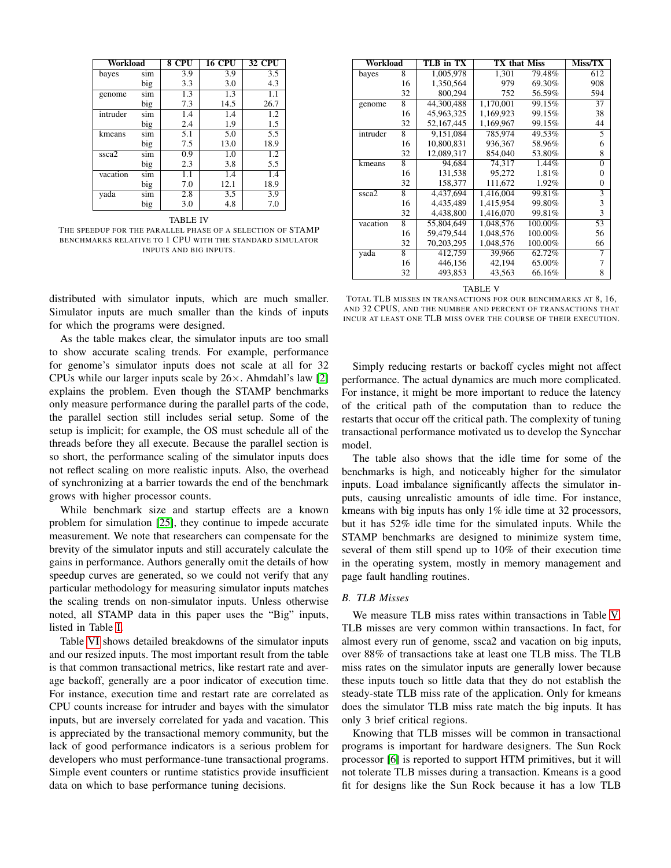| Workload |     | 8 CPU | <b>16 CPU</b> | <b>32 CPU</b> |
|----------|-----|-------|---------------|---------------|
| bayes    | sim | 3.9   | 3.9           | 3.5           |
|          | big | 3.3   | 3.0           | 4.3           |
| genome   | sim | 1.3   | 1.3           | 1.1           |
|          | big | 7.3   | 14.5          | 26.7          |
| intruder | sim | 1.4   | 1.4           | 1.2           |
|          | big | 2.4   | 1.9           | 1.5           |
| kmeans   | sim | 5.1   | 5.0           | 5.5           |
|          | big | 7.5   | 13.0          | 18.9          |
| ssca2    | sim | 0.9   | 1.0           | 1.2           |
|          | big | 2.3   | 3.8           | 5.5           |
| vacation | sim | 1.1   | 1.4           | 1.4           |
|          | big | 7.0   | 12.1          | 18.9          |
| yada     | sim | 2.8   | 3.5           | 3.9           |
|          | big | 3.0   | 4.8           | 7.0           |

TABLE IV

<span id="page-6-0"></span>THE SPEEDUP FOR THE PARALLEL PHASE OF A SELECTION OF STAMP BENCHMARKS RELATIVE TO 1 CPU WITH THE STANDARD SIMULATOR INPUTS AND BIG INPUTS.

| Workload |                | TLB in TX  | <b>TX</b> that Miss |         | Miss/TX        |
|----------|----------------|------------|---------------------|---------|----------------|
| bayes    | 8              | 1.005.978  | 1.301               | 79.48%  | 612            |
|          | 16             | 1,350,564  | 979                 | 69.30%  | 908            |
|          | 32             | 800,294    | 752                 | 56.59%  | 594            |
| genome   | 8              | 44,300,488 | 1.170.001           | 99.15%  | 37             |
|          | 16             | 45,963,325 | 1,169,923           | 99.15%  | 38             |
|          | 32             | 52,167,445 | 1,169,967           | 99.15%  | 44             |
| intruder | $\overline{8}$ | 9.151.084  | 785.974             | 49.53%  | 5              |
|          | 16             | 10,800,831 | 936,367             | 58.96%  | 6              |
|          | 32             | 12,089,317 | 854,040             | 53.80%  | 8              |
| kmeans   | 8              | 94,684     | 74.317              | 1.44%   | $\theta$       |
|          | 16             | 131,538    | 95,272              | 1.81%   | 0              |
|          | 32             | 158,377    | 111,672             | 1.92%   | $\overline{0}$ |
| ssca2    | 8              | 4.437.694  | 1.416.004           | 99.81%  | $\overline{3}$ |
|          | 16             | 4,435,489  | 1.415.954           | 99.80%  | 3              |
|          | 32             | 4,438,800  | 1,416,070           | 99.81%  | 3              |
| vacation | 8              | 55,804,649 | 1.048.576           | 100.00% | 53             |
|          | 16             | 59,479,544 | 1,048,576           | 100.00% | 56             |
|          | 32             | 70,203,295 | 1,048,576           | 100.00% | 66             |
| yada     | 8              | 412,759    | 39.966              | 62.72%  | 7              |
|          | 16             | 446,156    | 42,194              | 65.00%  | 7              |
|          | 32             | 493,853    | 43,563              | 66.16%  | 8              |

TABLE V

<span id="page-6-1"></span>TOTAL TLB MISSES IN TRANSACTIONS FOR OUR BENCHMARKS AT 8, 16, AND 32 CPUS, AND THE NUMBER AND PERCENT OF TRANSACTIONS THAT INCUR AT LEAST ONE TLB MISS OVER THE COURSE OF THEIR EXECUTION.

distributed with simulator inputs, which are much smaller. Simulator inputs are much smaller than the kinds of inputs for which the programs were designed.

As the table makes clear, the simulator inputs are too small to show accurate scaling trends. For example, performance for genome's simulator inputs does not scale at all for 32 CPUs while our larger inputs scale by  $26\times$ . Ahmdahl's law [\[2\]](#page-11-11) explains the problem. Even though the STAMP benchmarks only measure performance during the parallel parts of the code, the parallel section still includes serial setup. Some of the setup is implicit; for example, the OS must schedule all of the threads before they all execute. Because the parallel section is so short, the performance scaling of the simulator inputs does not reflect scaling on more realistic inputs. Also, the overhead of synchronizing at a barrier towards the end of the benchmark grows with higher processor counts.

While benchmark size and startup effects are a known problem for simulation [\[25\]](#page-11-12), they continue to impede accurate measurement. We note that researchers can compensate for the brevity of the simulator inputs and still accurately calculate the gains in performance. Authors generally omit the details of how speedup curves are generated, so we could not verify that any particular methodology for measuring simulator inputs matches the scaling trends on non-simulator inputs. Unless otherwise noted, all STAMP data in this paper uses the "Big" inputs, listed in Table [I.](#page-4-0)

Table [VI](#page-7-1) shows detailed breakdowns of the simulator inputs and our resized inputs. The most important result from the table is that common transactional metrics, like restart rate and average backoff, generally are a poor indicator of execution time. For instance, execution time and restart rate are correlated as CPU counts increase for intruder and bayes with the simulator inputs, but are inversely correlated for yada and vacation. This is appreciated by the transactional memory community, but the lack of good performance indicators is a serious problem for developers who must performance-tune transactional programs. Simple event counters or runtime statistics provide insufficient data on which to base performance tuning decisions.

Simply reducing restarts or backoff cycles might not affect performance. The actual dynamics are much more complicated. For instance, it might be more important to reduce the latency of the critical path of the computation than to reduce the restarts that occur off the critical path. The complexity of tuning transactional performance motivated us to develop the Syncchar model.

The table also shows that the idle time for some of the benchmarks is high, and noticeably higher for the simulator inputs. Load imbalance significantly affects the simulator inputs, causing unrealistic amounts of idle time. For instance, kmeans with big inputs has only 1% idle time at 32 processors, but it has 52% idle time for the simulated inputs. While the STAMP benchmarks are designed to minimize system time, several of them still spend up to 10% of their execution time in the operating system, mostly in memory management and page fault handling routines.

## *B. TLB Misses*

We measure TLB miss rates within transactions in Table [V.](#page-6-1) TLB misses are very common within transactions. In fact, for almost every run of genome, ssca2 and vacation on big inputs, over 88% of transactions take at least one TLB miss. The TLB miss rates on the simulator inputs are generally lower because these inputs touch so little data that they do not establish the steady-state TLB miss rate of the application. Only for kmeans does the simulator TLB miss rate match the big inputs. It has only 3 brief critical regions.

Knowing that TLB misses will be common in transactional programs is important for hardware designers. The Sun Rock processor [\[6\]](#page-11-13) is reported to support HTM primitives, but it will not tolerate TLB misses during a transaction. Kmeans is a good fit for designs like the Sun Rock because it has a low TLB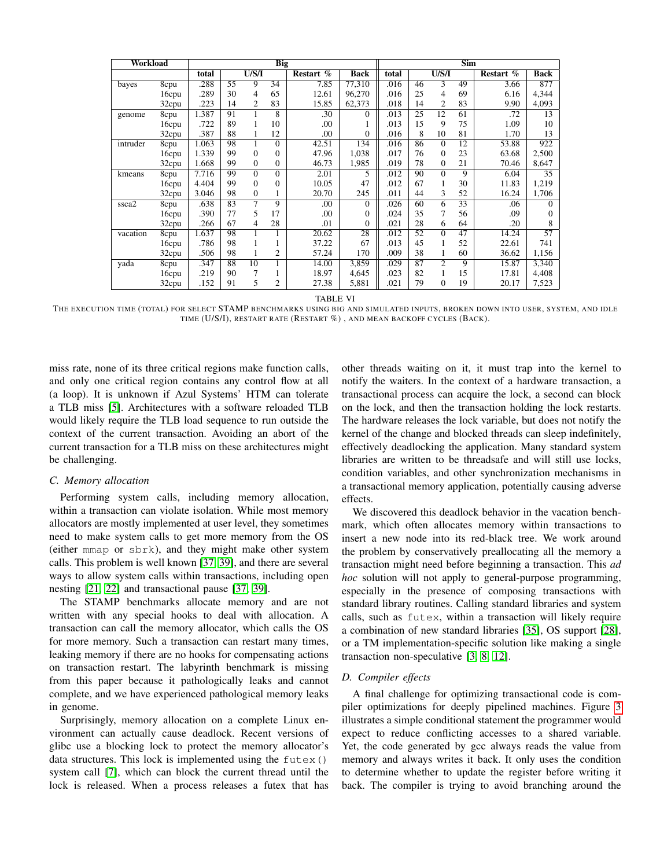| Workload |          |       |    | <b>Big</b>     |                |           |             |       |              | $\overline{\text{Sim}}$ |                 |             |                 |
|----------|----------|-------|----|----------------|----------------|-----------|-------------|-------|--------------|-------------------------|-----------------|-------------|-----------------|
|          |          | total |    | <b>U/S/I</b>   |                | Restart % | <b>Back</b> | total | <b>U/S/I</b> |                         | Restart %       | <b>Back</b> |                 |
| bayes    | 8cpu     | .288  | 55 | 9              | 34             | 7.85      | 77,310      | .016  | 46           | 3                       | 49              | 3.66        | 877             |
|          | $16$ cpu | .289  | 30 | 4              | 65             | 12.61     | 96,270      | .016  | 25           | 4                       | 69              | 6.16        | 4,344           |
|          | 32cpu    | .223  | 14 | $\overline{2}$ | 83             | 15.85     | 62,373      | .018  | 14           | $\overline{c}$          | 83              | 9.90        | 4,093           |
| genome   | 8cpu     | 1.387 | 91 | 1              | 8              | .30       | 0           | .013  | 25           | 12                      | 61              | .72         | 13              |
|          | 16cpu    | .722  | 89 | 1              | 10             | .00       |             | .013  | 15           | 9                       | 75              | 1.09        | 10              |
|          | 32cpu    | .387  | 88 | $\mathbf{1}$   | 12             | .00       | $\Omega$    | .016  | 8            | 10                      | 81              | 1.70        | 13              |
| intruder | 8cpu     | 1.063 | 98 | Ī              | $\Omega$       | 42.51     | 134         | .016  | 86           | $\Omega$                | $\overline{12}$ | 53.88       | 922             |
|          | 16cpu    | 1.339 | 99 | $\theta$       | $\theta$       | 47.96     | 1,038       | .017  | 76           | $\Omega$                | 23              | 63.68       | 2,500           |
|          | 32cpu    | 1.668 | 99 | $\mathbf{0}$   | $\theta$       | 46.73     | 1,985       | .019  | 78           | $\Omega$                | 21              | 70.46       | 8,647           |
| kmeans   | 8cpu     | 7.716 | 99 | $\overline{0}$ | $\overline{0}$ | 2.01      | 5           | .012  | 90           | $\overline{0}$          | 9               | 6.04        | $\overline{35}$ |
|          | 16cpu    | 4.404 | 99 | $\theta$       | $\theta$       | 10.05     | 47          | .012  | 67           |                         | 30              | 11.83       | 1,219           |
|          | 32cpu    | 3.046 | 98 | $\theta$       | 1              | 20.70     | 245         | .011  | 44           | 3                       | 52              | 16.24       | 1,706           |
| ssca2    | 8cpu     | .638  | 83 | 7              | 9              | .00       | 0           | .026  | 60           | 6                       | 33              | .06         | 0               |
|          | 16cpu    | .390  | 77 | 5              | 17             | .00       | 0           | .024  | 35           |                         | 56              | .09         | 0               |
|          | 32cpu    | .266  | 67 | 4              | 28             | .01       | $\Omega$    | .021  | 28           | 6                       | 64              | .20         | 8               |
| vacation | 8cpu     | 1.637 | 98 | $\mathbf{1}$   |                | 20.62     | 28          | .012  | 52           | $\Omega$                | 47              | 14.24       | 57              |
|          | $16$ cpu | .786  | 98 | 1              |                | 37.22     | 67          | .013  | 45           |                         | 52              | 22.61       | 741             |
|          | 32cpu    | .506  | 98 | 1              | 2              | 57.24     | 170         | .009  | 38           |                         | 60              | 36.62       | 1,156           |
| yada     | 8cpu     | .347  | 88 | 10             |                | 14.00     | 3,859       | .029  | 87           | $\overline{c}$          | 9               | 15.87       | 3,340           |
|          | 16cpu    | .219  | 90 | 7              |                | 18.97     | 4,645       | .023  | 82           |                         | 15              | 17.81       | 4,408           |
|          | 32cpu    | .152  | 91 | 5              | $\overline{2}$ | 27.38     | 5,881       | .021  | 79           | $\Omega$                | 19              | 20.17       | 7,523           |

TABLE VI

<span id="page-7-1"></span>THE EXECUTION TIME (TOTAL) FOR SELECT STAMP BENCHMARKS USING BIG AND SIMULATED INPUTS, BROKEN DOWN INTO USER, SYSTEM, AND IDLE TIME (U/S/I), RESTART RATE (RESTART %) , AND MEAN BACKOFF CYCLES (BACK).

miss rate, none of its three critical regions make function calls, and only one critical region contains any control flow at all (a loop). It is unknown if Azul Systems' HTM can tolerate a TLB miss [\[5\]](#page-11-14). Architectures with a software reloaded TLB would likely require the TLB load sequence to run outside the context of the current transaction. Avoiding an abort of the current transaction for a TLB miss on these architectures might be challenging.

## <span id="page-7-0"></span>*C. Memory allocation*

Performing system calls, including memory allocation, within a transaction can violate isolation. While most memory allocators are mostly implemented at user level, they sometimes need to make system calls to get more memory from the OS (either mmap or sbrk), and they might make other system calls. This problem is well known [\[37,](#page-12-2) [39\]](#page-12-3), and there are several ways to allow system calls within transactions, including open nesting [\[21,](#page-11-15) [22\]](#page-11-16) and transactional pause [\[37,](#page-12-2) [39\]](#page-12-3).

The STAMP benchmarks allocate memory and are not written with any special hooks to deal with allocation. A transaction can call the memory allocator, which calls the OS for more memory. Such a transaction can restart many times, leaking memory if there are no hooks for compensating actions on transaction restart. The labyrinth benchmark is missing from this paper because it pathologically leaks and cannot complete, and we have experienced pathological memory leaks in genome.

Surprisingly, memory allocation on a complete Linux environment can actually cause deadlock. Recent versions of glibc use a blocking lock to protect the memory allocator's data structures. This lock is implemented using the futex() system call [\[7\]](#page-11-17), which can block the current thread until the lock is released. When a process releases a futex that has other threads waiting on it, it must trap into the kernel to notify the waiters. In the context of a hardware transaction, a transactional process can acquire the lock, a second can block on the lock, and then the transaction holding the lock restarts. The hardware releases the lock variable, but does not notify the kernel of the change and blocked threads can sleep indefinitely, effectively deadlocking the application. Many standard system libraries are written to be threadsafe and will still use locks, condition variables, and other synchronization mechanisms in a transactional memory application, potentially causing adverse effects.

We discovered this deadlock behavior in the vacation benchmark, which often allocates memory within transactions to insert a new node into its red-black tree. We work around the problem by conservatively preallocating all the memory a transaction might need before beginning a transaction. This *ad hoc* solution will not apply to general-purpose programming, especially in the presence of composing transactions with standard library routines. Calling standard libraries and system calls, such as futex, within a transaction will likely require a combination of new standard libraries [\[35\]](#page-12-4), OS support [\[28\]](#page-11-18), or a TM implementation-specific solution like making a single transaction non-speculative [\[3,](#page-11-19) [8,](#page-11-20) [12\]](#page-11-21).

## *D. Compiler effects*

A final challenge for optimizing transactional code is compiler optimizations for deeply pipelined machines. Figure [3](#page-8-1) illustrates a simple conditional statement the programmer would expect to reduce conflicting accesses to a shared variable. Yet, the code generated by gcc always reads the value from memory and always writes it back. It only uses the condition to determine whether to update the register before writing it back. The compiler is trying to avoid branching around the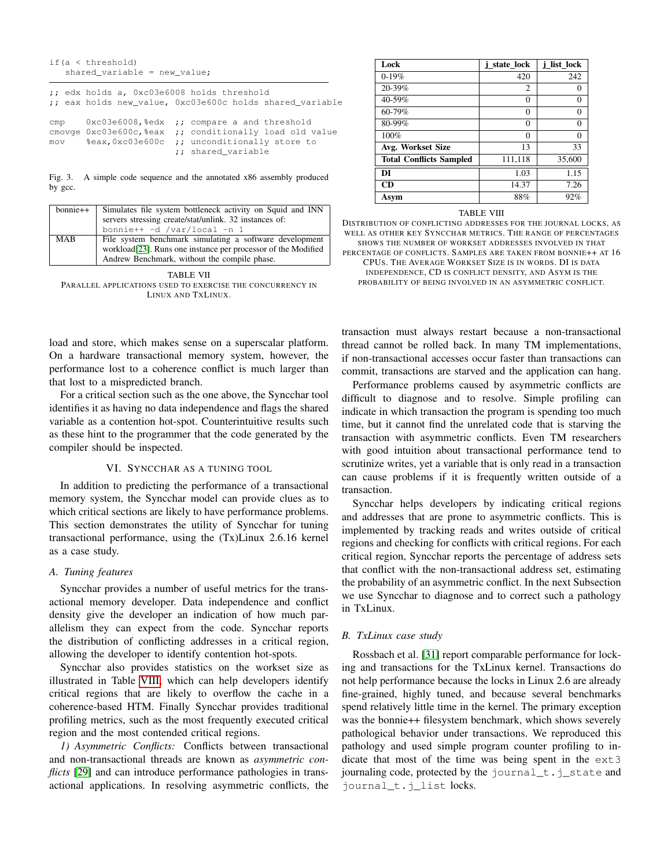```
if(a < threshold)
shared_variable = new_value;
```

|     | :; edx holds a, 0xc03e6008 holds threshold |                                                          |
|-----|--------------------------------------------|----------------------------------------------------------|
|     |                                            | :; eax holds new value, 0xc03e600c holds shared variable |
|     |                                            |                                                          |
| cmp |                                            | $0xc03e6008$ , sedx ;; compare a and threshold           |
|     | cmovge 0xc03e600c,%eax                     | :: conditionally load old value                          |
| mov | %eax,OxcO3e6OOc                            | :; unconditionally store to                              |
|     |                                            | ;; shared_variable                                       |

<span id="page-8-1"></span>Fig. 3. A simple code sequence and the annotated x86 assembly produced by gcc.

| $bonnie++$ | Simulates file system bottleneck activity on Squid and INN<br>servers stressing create/stat/unlink. 32 instances of: |
|------------|----------------------------------------------------------------------------------------------------------------------|
|            | bonnie++ -d /var/local -n 1                                                                                          |
| MAR        | File system benchmark simulating a software development                                                              |
|            | workload[23]. Runs one instance per processor of the Modified                                                        |
|            | Andrew Benchmark, without the compile phase.                                                                         |

<span id="page-8-3"></span>TABLE VII PARALLEL APPLICATIONS USED TO EXERCISE THE CONCURRENCY IN LINUX AND TXLINUX.

load and store, which makes sense on a superscalar platform. On a hardware transactional memory system, however, the performance lost to a coherence conflict is much larger than that lost to a mispredicted branch.

For a critical section such as the one above, the Syncchar tool identifies it as having no data independence and flags the shared variable as a contention hot-spot. Counterintuitive results such as these hint to the programmer that the code generated by the compiler should be inspected.

#### VI. SYNCCHAR AS A TUNING TOOL

<span id="page-8-0"></span>In addition to predicting the performance of a transactional memory system, the Syncchar model can provide clues as to which critical sections are likely to have performance problems. This section demonstrates the utility of Syncchar for tuning transactional performance, using the (Tx)Linux 2.6.16 kernel as a case study.

#### *A. Tuning features*

Syncchar provides a number of useful metrics for the transactional memory developer. Data independence and conflict density give the developer an indication of how much parallelism they can expect from the code. Syncchar reports the distribution of conflicting addresses in a critical region, allowing the developer to identify contention hot-spots.

Syncchar also provides statistics on the workset size as illustrated in Table [VIII,](#page-8-2) which can help developers identify critical regions that are likely to overflow the cache in a coherence-based HTM. Finally Syncchar provides traditional profiling metrics, such as the most frequently executed critical region and the most contended critical regions.

*1) Asymmetric Conflicts:* Conflicts between transactional and non-transactional threads are known as *asymmetric conflicts* [\[29\]](#page-11-2) and can introduce performance pathologies in transactional applications. In resolving asymmetric conflicts, the

| Lock                           | j state lock | <i>i</i> list lock |
|--------------------------------|--------------|--------------------|
| $0-19%$                        | 420          | 242                |
| 20-39%                         | 2            | 0                  |
| 40-59%                         | 0            | 0                  |
| 60-79%                         | 0            | 0                  |
| 80-99%                         | 0            | 0                  |
| 100%                           | 0            | 0                  |
| Avg. Workset Size              | 13           | 33                 |
| <b>Total Conflicts Sampled</b> | 111,118      | 35,600             |
| DI                             | 1.03         | 1.15               |
| CD                             | 14.37        | 7.26               |
| Asym                           | 88%          | 92%                |

TABLE VIII

<span id="page-8-2"></span>DISTRIBUTION OF CONFLICTING ADDRESSES FOR THE JOURNAL LOCKS, AS WELL AS OTHER KEY SYNCCHAR METRICS. THE RANGE OF PERCENTAGES SHOWS THE NUMBER OF WORKSET ADDRESSES INVOLVED IN THAT PERCENTAGE OF CONFLICTS. SAMPLES ARE TAKEN FROM BONNIE++ AT 16 CPUS. THE AVERAGE WORKSET SIZE IS IN WORDS. DI IS DATA INDEPENDENCE, CD IS CONFLICT DENSITY, AND ASYM IS THE PROBABILITY OF BEING INVOLVED IN AN ASYMMETRIC CONFLICT.

transaction must always restart because a non-transactional thread cannot be rolled back. In many TM implementations, if non-transactional accesses occur faster than transactions can commit, transactions are starved and the application can hang.

Performance problems caused by asymmetric conflicts are difficult to diagnose and to resolve. Simple profiling can indicate in which transaction the program is spending too much time, but it cannot find the unrelated code that is starving the transaction with asymmetric conflicts. Even TM researchers with good intuition about transactional performance tend to scrutinize writes, yet a variable that is only read in a transaction can cause problems if it is frequently written outside of a transaction.

Syncchar helps developers by indicating critical regions and addresses that are prone to asymmetric conflicts. This is implemented by tracking reads and writes outside of critical regions and checking for conflicts with critical regions. For each critical region, Syncchar reports the percentage of address sets that conflict with the non-transactional address set, estimating the probability of an asymmetric conflict. In the next Subsection we use Syncchar to diagnose and to correct such a pathology in TxLinux.

#### *B. TxLinux case study*

Rossbach et al. [\[31\]](#page-11-3) report comparable performance for locking and transactions for the TxLinux kernel. Transactions do not help performance because the locks in Linux 2.6 are already fine-grained, highly tuned, and because several benchmarks spend relatively little time in the kernel. The primary exception was the bonnie++ filesystem benchmark, which shows severely pathological behavior under transactions. We reproduced this pathology and used simple program counter profiling to indicate that most of the time was being spent in the ext3 journaling code, protected by the journal\_t.j\_state and journal\_t.j\_list locks.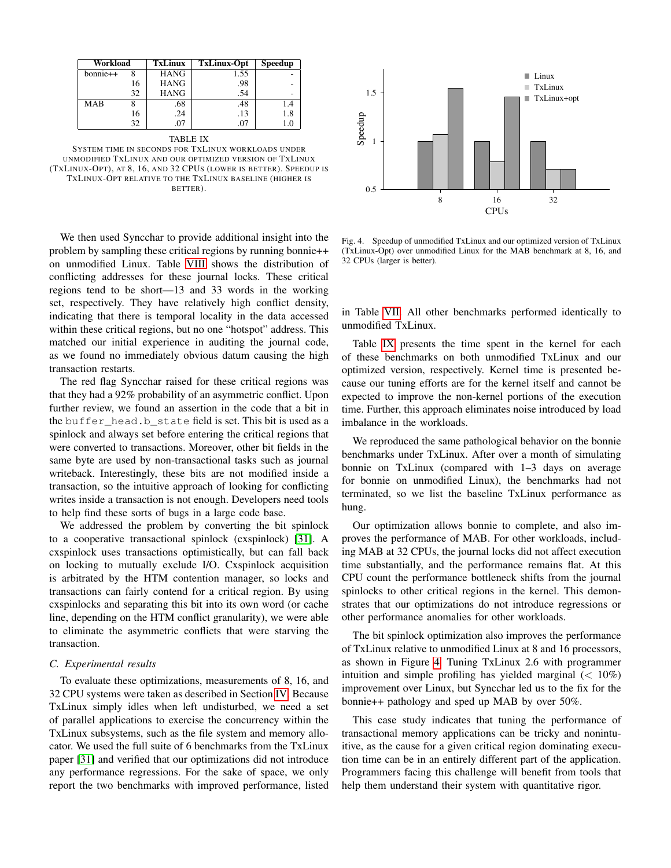| Workload   |    | <b>TxLinux</b> | <b>TxLinux-Opt</b> | <b>Speedup</b> |
|------------|----|----------------|--------------------|----------------|
| bonnie++   |    | <b>HANG</b>    | 1.55               |                |
|            | 16 | <b>HANG</b>    | .98                |                |
|            | 32 | <b>HANG</b>    | .54                |                |
| <b>MAB</b> |    | .68            | .48                | 1.4            |
|            | 16 | .24            | .13                | 1.8            |
|            | 32 |                | .07                | 1.0            |

<span id="page-9-0"></span>TABLE IX SYSTEM TIME IN SECONDS FOR TXLINUX WORKLOADS UNDER UNMODIFIED TXLINUX AND OUR OPTIMIZED VERSION OF TXLINUX (TXLINUX-OPT), AT 8, 16, AND 32 CPUS (LOWER IS BETTER). SPEEDUP IS TXLINUX-OPT RELATIVE TO THE TXLINUX BASELINE (HIGHER IS BETTER).

We then used Syncchar to provide additional insight into the problem by sampling these critical regions by running bonnie++ on unmodified Linux. Table [VIII](#page-8-2) shows the distribution of conflicting addresses for these journal locks. These critical regions tend to be short—13 and 33 words in the working set, respectively. They have relatively high conflict density, indicating that there is temporal locality in the data accessed within these critical regions, but no one "hotspot" address. This matched our initial experience in auditing the journal code, as we found no immediately obvious datum causing the high transaction restarts.

The red flag Syncchar raised for these critical regions was that they had a 92% probability of an asymmetric conflict. Upon further review, we found an assertion in the code that a bit in the buffer\_head.b\_state field is set. This bit is used as a spinlock and always set before entering the critical regions that were converted to transactions. Moreover, other bit fields in the same byte are used by non-transactional tasks such as journal writeback. Interestingly, these bits are not modified inside a transaction, so the intuitive approach of looking for conflicting writes inside a transaction is not enough. Developers need tools to help find these sorts of bugs in a large code base.

We addressed the problem by converting the bit spinlock to a cooperative transactional spinlock (cxspinlock) [\[31\]](#page-11-3). A cxspinlock uses transactions optimistically, but can fall back on locking to mutually exclude I/O. Cxspinlock acquisition is arbitrated by the HTM contention manager, so locks and transactions can fairly contend for a critical region. By using cxspinlocks and separating this bit into its own word (or cache line, depending on the HTM conflict granularity), we were able to eliminate the asymmetric conflicts that were starving the transaction.

#### *C. Experimental results*

To evaluate these optimizations, measurements of 8, 16, and 32 CPU systems were taken as described in Section [IV.](#page-3-0) Because TxLinux simply idles when left undisturbed, we need a set of parallel applications to exercise the concurrency within the TxLinux subsystems, such as the file system and memory allocator. We used the full suite of 6 benchmarks from the TxLinux paper [\[31\]](#page-11-3) and verified that our optimizations did not introduce any performance regressions. For the sake of space, we only report the two benchmarks with improved performance, listed



<span id="page-9-1"></span>Fig. 4. Speedup of unmodified TxLinux and our optimized version of TxLinux (TxLinux-Opt) over unmodified Linux for the MAB benchmark at 8, 16, and 32 CPUs (larger is better).

in Table [VII.](#page-8-3) All other benchmarks performed identically to unmodified TxLinux.

Table [IX](#page-9-0) presents the time spent in the kernel for each of these benchmarks on both unmodified TxLinux and our optimized version, respectively. Kernel time is presented because our tuning efforts are for the kernel itself and cannot be expected to improve the non-kernel portions of the execution time. Further, this approach eliminates noise introduced by load imbalance in the workloads.

We reproduced the same pathological behavior on the bonnie benchmarks under TxLinux. After over a month of simulating bonnie on TxLinux (compared with 1–3 days on average for bonnie on unmodified Linux), the benchmarks had not terminated, so we list the baseline TxLinux performance as hung.

Our optimization allows bonnie to complete, and also improves the performance of MAB. For other workloads, including MAB at 32 CPUs, the journal locks did not affect execution time substantially, and the performance remains flat. At this CPU count the performance bottleneck shifts from the journal spinlocks to other critical regions in the kernel. This demonstrates that our optimizations do not introduce regressions or other performance anomalies for other workloads.

The bit spinlock optimization also improves the performance of TxLinux relative to unmodified Linux at 8 and 16 processors, as shown in Figure [4.](#page-9-1) Tuning TxLinux 2.6 with programmer intuition and simple profiling has yielded marginal  $(< 10\%)$ improvement over Linux, but Syncchar led us to the fix for the bonnie++ pathology and sped up MAB by over 50%.

This case study indicates that tuning the performance of transactional memory applications can be tricky and nonintuitive, as the cause for a given critical region dominating execution time can be in an entirely different part of the application. Programmers facing this challenge will benefit from tools that help them understand their system with quantitative rigor.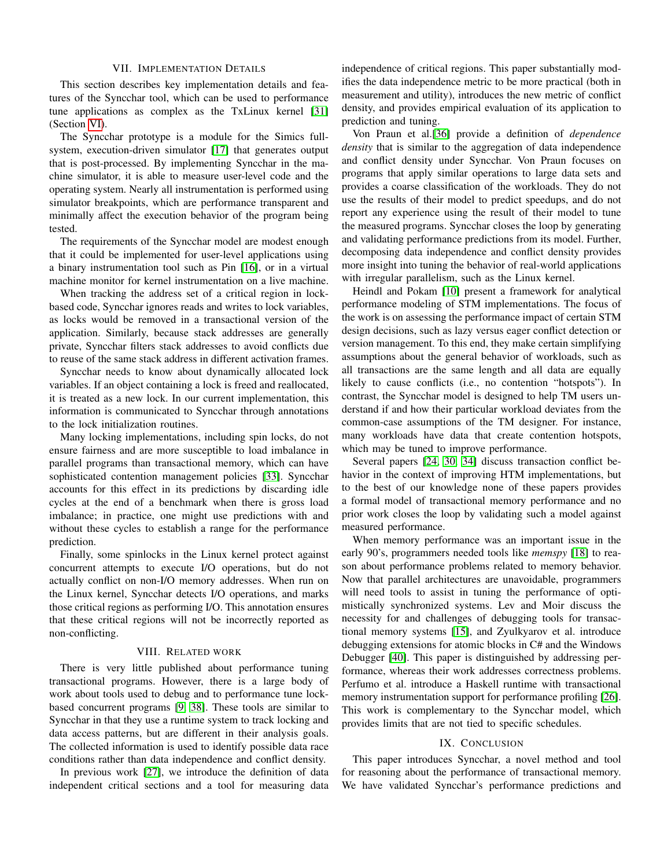#### VII. IMPLEMENTATION DETAILS

<span id="page-10-0"></span>This section describes key implementation details and features of the Syncchar tool, which can be used to performance tune applications as complex as the TxLinux kernel [\[31\]](#page-11-3) (Section [VI\)](#page-8-0).

The Syncchar prototype is a module for the Simics fullsystem, execution-driven simulator [\[17\]](#page-11-8) that generates output that is post-processed. By implementing Syncchar in the machine simulator, it is able to measure user-level code and the operating system. Nearly all instrumentation is performed using simulator breakpoints, which are performance transparent and minimally affect the execution behavior of the program being tested.

The requirements of the Syncchar model are modest enough that it could be implemented for user-level applications using a binary instrumentation tool such as Pin [\[16\]](#page-11-23), or in a virtual machine monitor for kernel instrumentation on a live machine.

When tracking the address set of a critical region in lockbased code, Syncchar ignores reads and writes to lock variables, as locks would be removed in a transactional version of the application. Similarly, because stack addresses are generally private, Syncchar filters stack addresses to avoid conflicts due to reuse of the same stack address in different activation frames.

Syncchar needs to know about dynamically allocated lock variables. If an object containing a lock is freed and reallocated, it is treated as a new lock. In our current implementation, this information is communicated to Syncchar through annotations to the lock initialization routines.

Many locking implementations, including spin locks, do not ensure fairness and are more susceptible to load imbalance in parallel programs than transactional memory, which can have sophisticated contention management policies [\[33\]](#page-12-5). Syncchar accounts for this effect in its predictions by discarding idle cycles at the end of a benchmark when there is gross load imbalance; in practice, one might use predictions with and without these cycles to establish a range for the performance prediction.

Finally, some spinlocks in the Linux kernel protect against concurrent attempts to execute I/O operations, but do not actually conflict on non-I/O memory addresses. When run on the Linux kernel, Syncchar detects I/O operations, and marks those critical regions as performing I/O. This annotation ensures that these critical regions will not be incorrectly reported as non-conflicting.

## VIII. RELATED WORK

<span id="page-10-1"></span>There is very little published about performance tuning transactional programs. However, there is a large body of work about tools used to debug and to performance tune lockbased concurrent programs [\[9,](#page-11-24) [38\]](#page-12-6). These tools are similar to Syncchar in that they use a runtime system to track locking and data access patterns, but are different in their analysis goals. The collected information is used to identify possible data race conditions rather than data independence and conflict density.

In previous work [\[27\]](#page-11-25), we introduce the definition of data independent critical sections and a tool for measuring data independence of critical regions. This paper substantially modifies the data independence metric to be more practical (both in measurement and utility), introduces the new metric of conflict density, and provides empirical evaluation of its application to prediction and tuning.

Von Praun et al.[\[36\]](#page-12-0) provide a definition of *dependence density* that is similar to the aggregation of data independence and conflict density under Syncchar. Von Praun focuses on programs that apply similar operations to large data sets and provides a coarse classification of the workloads. They do not use the results of their model to predict speedups, and do not report any experience using the result of their model to tune the measured programs. Syncchar closes the loop by generating and validating performance predictions from its model. Further, decomposing data independence and conflict density provides more insight into tuning the behavior of real-world applications with irregular parallelism, such as the Linux kernel.

Heindl and Pokam [\[10\]](#page-11-26) present a framework for analytical performance modeling of STM implementations. The focus of the work is on assessing the performance impact of certain STM design decisions, such as lazy versus eager conflict detection or version management. To this end, they make certain simplifying assumptions about the general behavior of workloads, such as all transactions are the same length and all data are equally likely to cause conflicts (i.e., no contention "hotspots"). In contrast, the Syncchar model is designed to help TM users understand if and how their particular workload deviates from the common-case assumptions of the TM designer. For instance, many workloads have data that create contention hotspots, which may be tuned to improve performance.

Several papers [\[24,](#page-11-27) [30,](#page-11-6) [34\]](#page-12-7) discuss transaction conflict behavior in the context of improving HTM implementations, but to the best of our knowledge none of these papers provides a formal model of transactional memory performance and no prior work closes the loop by validating such a model against measured performance.

When memory performance was an important issue in the early 90's, programmers needed tools like *memspy* [\[18\]](#page-11-28) to reason about performance problems related to memory behavior. Now that parallel architectures are unavoidable, programmers will need tools to assist in tuning the performance of optimistically synchronized systems. Lev and Moir discuss the necessity for and challenges of debugging tools for transactional memory systems [\[15\]](#page-11-29), and Zyulkyarov et al. introduce debugging extensions for atomic blocks in C# and the Windows Debugger [\[40\]](#page-12-8). This paper is distinguished by addressing performance, whereas their work addresses correctness problems. Perfumo et al. introduce a Haskell runtime with transactional memory instrumentation support for performance profiling [\[26\]](#page-11-30). This work is complementary to the Syncchar model, which provides limits that are not tied to specific schedules.

#### IX. CONCLUSION

<span id="page-10-2"></span>This paper introduces Syncchar, a novel method and tool for reasoning about the performance of transactional memory. We have validated Syncchar's performance predictions and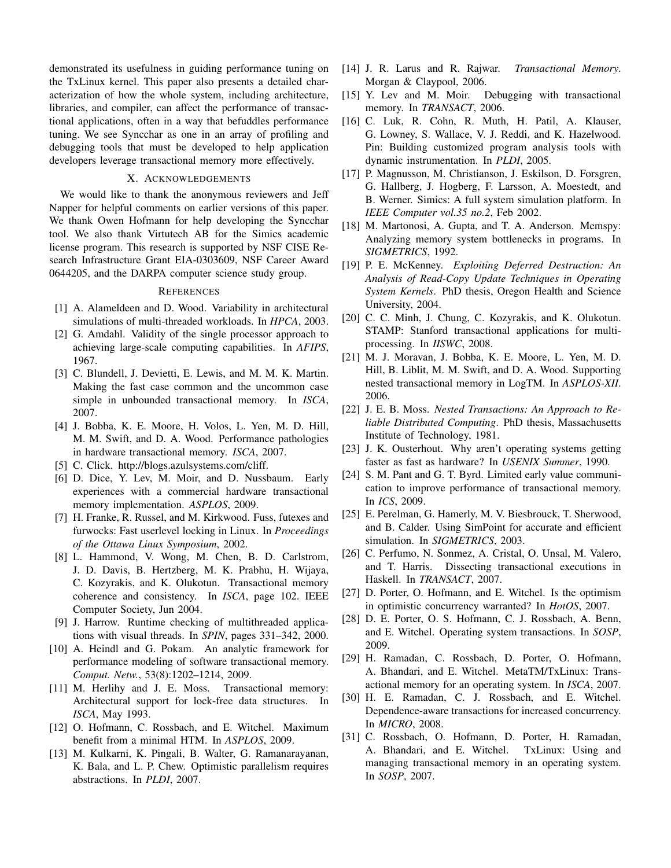demonstrated its usefulness in guiding performance tuning on the TxLinux kernel. This paper also presents a detailed characterization of how the whole system, including architecture, libraries, and compiler, can affect the performance of transactional applications, often in a way that befuddles performance tuning. We see Syncchar as one in an array of profiling and debugging tools that must be developed to help application developers leverage transactional memory more effectively.

## X. ACKNOWLEDGEMENTS

We would like to thank the anonymous reviewers and Jeff Napper for helpful comments on earlier versions of this paper. We thank Owen Hofmann for help developing the Syncchar tool. We also thank Virtutech AB for the Simics academic license program. This research is supported by NSF CISE Research Infrastructure Grant EIA-0303609, NSF Career Award 0644205, and the DARPA computer science study group.

#### **REFERENCES**

- <span id="page-11-10"></span>[1] A. Alameldeen and D. Wood. Variability in architectural simulations of multi-threaded workloads. In *HPCA*, 2003.
- <span id="page-11-11"></span>[2] G. Amdahl. Validity of the single processor approach to achieving large-scale computing capabilities. In *AFIPS*, 1967.
- <span id="page-11-19"></span>[3] C. Blundell, J. Devietti, E. Lewis, and M. M. K. Martin. Making the fast case common and the uncommon case simple in unbounded transactional memory. In *ISCA*, 2007.
- <span id="page-11-7"></span>[4] J. Bobba, K. E. Moore, H. Volos, L. Yen, M. D. Hill, M. M. Swift, and D. A. Wood. Performance pathologies in hardware transactional memory. *ISCA*, 2007.
- <span id="page-11-14"></span>[5] C. Click. http://blogs.azulsystems.com/cliff.
- <span id="page-11-13"></span>[6] D. Dice, Y. Lev, M. Moir, and D. Nussbaum. Early experiences with a commercial hardware transactional memory implementation. *ASPLOS*, 2009.
- <span id="page-11-17"></span>[7] H. Franke, R. Russel, and M. Kirkwood. Fuss, futexes and furwocks: Fast userlevel locking in Linux. In *Proceedings of the Ottawa Linux Symposium*, 2002.
- <span id="page-11-20"></span>[8] L. Hammond, V. Wong, M. Chen, B. D. Carlstrom, J. D. Davis, B. Hertzberg, M. K. Prabhu, H. Wijaya, C. Kozyrakis, and K. Olukotun. Transactional memory coherence and consistency. In *ISCA*, page 102. IEEE Computer Society, Jun 2004.
- <span id="page-11-24"></span>[9] J. Harrow. Runtime checking of multithreaded applications with visual threads. In *SPIN*, pages 331–342, 2000.
- <span id="page-11-26"></span>[10] A. Heindl and G. Pokam. An analytic framework for performance modeling of software transactional memory. *Comput. Netw.*, 53(8):1202–1214, 2009.
- <span id="page-11-0"></span>[11] M. Herlihy and J. E. Moss. Transactional memory: Architectural support for lock-free data structures. In *ISCA*, May 1993.
- <span id="page-11-21"></span>[12] O. Hofmann, C. Rossbach, and E. Witchel. Maximum benefit from a minimal HTM. In *ASPLOS*, 2009.
- <span id="page-11-9"></span>[13] M. Kulkarni, K. Pingali, B. Walter, G. Ramanarayanan, K. Bala, and L. P. Chew. Optimistic parallelism requires abstractions. In *PLDI*, 2007.
- <span id="page-11-1"></span>[14] J. R. Larus and R. Rajwar. *Transactional Memory*. Morgan & Claypool, 2006.
- <span id="page-11-29"></span>[15] Y. Lev and M. Moir. Debugging with transactional memory. In *TRANSACT*, 2006.
- <span id="page-11-23"></span>[16] C. Luk, R. Cohn, R. Muth, H. Patil, A. Klauser, G. Lowney, S. Wallace, V. J. Reddi, and K. Hazelwood. Pin: Building customized program analysis tools with dynamic instrumentation. In *PLDI*, 2005.
- <span id="page-11-8"></span>[17] P. Magnusson, M. Christianson, J. Eskilson, D. Forsgren, G. Hallberg, J. Hogberg, F. Larsson, A. Moestedt, and B. Werner. Simics: A full system simulation platform. In *IEEE Computer vol.35 no.2*, Feb 2002.
- <span id="page-11-28"></span>[18] M. Martonosi, A. Gupta, and T. A. Anderson. Memspy: Analyzing memory system bottlenecks in programs. In *SIGMETRICS*, 1992.
- <span id="page-11-5"></span>[19] P. E. McKenney. *Exploiting Deferred Destruction: An Analysis of Read-Copy Update Techniques in Operating System Kernels*. PhD thesis, Oregon Health and Science University, 2004.
- <span id="page-11-4"></span>[20] C. C. Minh, J. Chung, C. Kozyrakis, and K. Olukotun. STAMP: Stanford transactional applications for multiprocessing. In *IISWC*, 2008.
- <span id="page-11-15"></span>[21] M. J. Moravan, J. Bobba, K. E. Moore, L. Yen, M. D. Hill, B. Liblit, M. M. Swift, and D. A. Wood. Supporting nested transactional memory in LogTM. In *ASPLOS-XII*. 2006.
- <span id="page-11-16"></span>[22] J. E. B. Moss. *Nested Transactions: An Approach to Reliable Distributed Computing*. PhD thesis, Massachusetts Institute of Technology, 1981.
- <span id="page-11-22"></span>[23] J. K. Ousterhout. Why aren't operating systems getting faster as fast as hardware? In *USENIX Summer*, 1990.
- <span id="page-11-27"></span>[24] S. M. Pant and G. T. Byrd. Limited early value communication to improve performance of transactional memory. In *ICS*, 2009.
- <span id="page-11-12"></span>[25] E. Perelman, G. Hamerly, M. V. Biesbrouck, T. Sherwood, and B. Calder. Using SimPoint for accurate and efficient simulation. In *SIGMETRICS*, 2003.
- <span id="page-11-30"></span>[26] C. Perfumo, N. Sonmez, A. Cristal, O. Unsal, M. Valero, and T. Harris. Dissecting transactional executions in Haskell. In *TRANSACT*, 2007.
- <span id="page-11-25"></span>[27] D. Porter, O. Hofmann, and E. Witchel. Is the optimism in optimistic concurrency warranted? In *HotOS*, 2007.
- <span id="page-11-18"></span>[28] D. E. Porter, O. S. Hofmann, C. J. Rossbach, A. Benn, and E. Witchel. Operating system transactions. In *SOSP*, 2009.
- <span id="page-11-2"></span>[29] H. Ramadan, C. Rossbach, D. Porter, O. Hofmann, A. Bhandari, and E. Witchel. MetaTM/TxLinux: Transactional memory for an operating system. In *ISCA*, 2007.
- <span id="page-11-6"></span>[30] H. E. Ramadan, C. J. Rossbach, and E. Witchel. Dependence-aware transactions for increased concurrency. In *MICRO*, 2008.
- <span id="page-11-3"></span>[31] C. Rossbach, O. Hofmann, D. Porter, H. Ramadan, A. Bhandari, and E. Witchel. TxLinux: Using and managing transactional memory in an operating system. In *SOSP*, 2007.